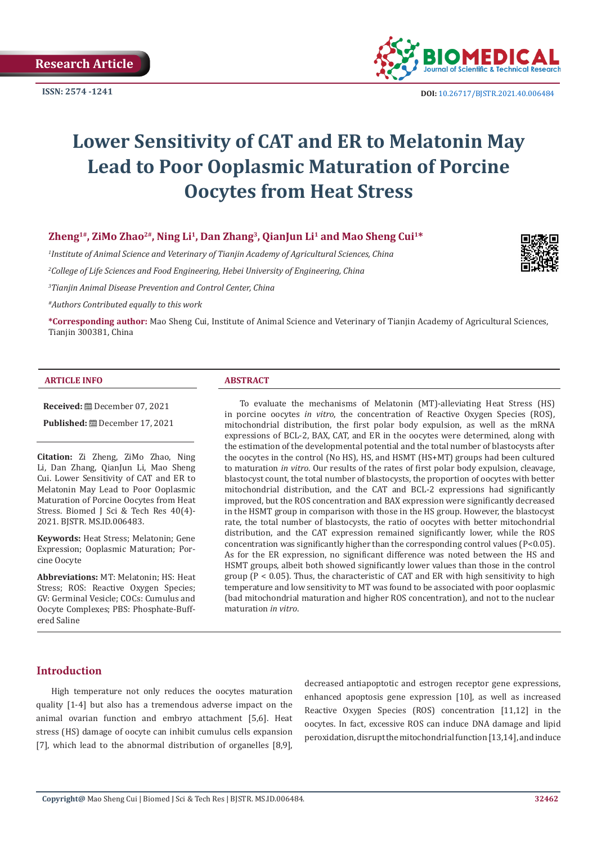

**ISSN:** 2574 -1241 **DOI:** [10.26717/BJSTR.2021.40.006484](https://dx.doi.org/10.26717/BJSTR.2021.40.006484)

# **Lower Sensitivity of CAT and ER to Melatonin May Lead to Poor Ooplasmic Maturation of Porcine Oocytes from Heat Stress**

# **Zheng1#, ZiMo Zhao2#, Ning Li1, Dan Zhang3, QianJun Li1 and Mao Sheng Cui1\***

*1 Institute of Animal Science and Veterinary of Tianjin Academy of Agricultural Sciences, China 2 College of Life Sciences and Food Engineering, Hebei University of Engineering, China 3 Tianjin Animal Disease Prevention and Control Center, China*



*#Authors Contributed equally to this work*

**\*Corresponding author:** Mao Sheng Cui, Institute of Animal Science and Veterinary of Tianjin Academy of Agricultural Sciences, Tianjin 300381, China

### **ARTICLE INFO ABSTRACT**

**Received:** December 07, 2021

**Published:** December 17, 2021

**Citation:** Zi Zheng, ZiMo Zhao, Ning Li, Dan Zhang, QianJun Li, Mao Sheng Cui. Lower Sensitivity of CAT and ER to Melatonin May Lead to Poor Ooplasmic Maturation of Porcine Oocytes from Heat Stress. Biomed J Sci & Tech Res 40(4)- 2021. BJSTR. MS.ID.006483.

**Keywords:** Heat Stress; Melatonin; Gene Expression; Ooplasmic Maturation; Porcine Oocyte

**Abbreviations:** MT: Melatonin; HS: Heat Stress; ROS: Reactive Oxygen Species; GV: Germinal Vesicle; COCs: Cumulus and Oocyte Complexes; PBS: Phosphate-Buffered Saline

To evaluate the mechanisms of Melatonin (MT)-alleviating Heat Stress (HS) in porcine oocytes *in vitro*, the concentration of Reactive Oxygen Species (ROS), mitochondrial distribution, the first polar body expulsion, as well as the mRNA expressions of BCL-2, BAX, CAT, and ER in the oocytes were determined, along with the estimation of the developmental potential and the total number of blastocysts after the oocytes in the control (No HS), HS, and HSMT (HS+MT) groups had been cultured to maturation *in vitro*. Our results of the rates of first polar body expulsion, cleavage, blastocyst count, the total number of blastocysts, the proportion of oocytes with better mitochondrial distribution, and the CAT and BCL-2 expressions had significantly improved, but the ROS concentration and BAX expression were significantly decreased in the HSMT group in comparison with those in the HS group. However, the blastocyst rate, the total number of blastocysts, the ratio of oocytes with better mitochondrial distribution, and the CAT expression remained significantly lower, while the ROS concentration was significantly higher than the corresponding control values (P<0.05). As for the ER expression, no significant difference was noted between the HS and HSMT groups, albeit both showed significantly lower values than those in the control group ( $P < 0.05$ ). Thus, the characteristic of CAT and ER with high sensitivity to high temperature and low sensitivity to MT was found to be associated with poor ooplasmic (bad mitochondrial maturation and higher ROS concentration), and not to the nuclear maturation *in vitro*.

# **Introduction**

High temperature not only reduces the oocytes maturation quality [1-4] but also has a tremendous adverse impact on the animal ovarian function and embryo attachment [5,6]. Heat stress (HS) damage of oocyte can inhibit cumulus cells expansion [7], which lead to the abnormal distribution of organelles [8,9], decreased antiapoptotic and estrogen receptor gene expressions, enhanced apoptosis gene expression [10], as well as increased Reactive Oxygen Species (ROS) concentration [11,12] in the oocytes. In fact, excessive ROS can induce DNA damage and lipid peroxidation, disrupt the mitochondrial function [13,14], and induce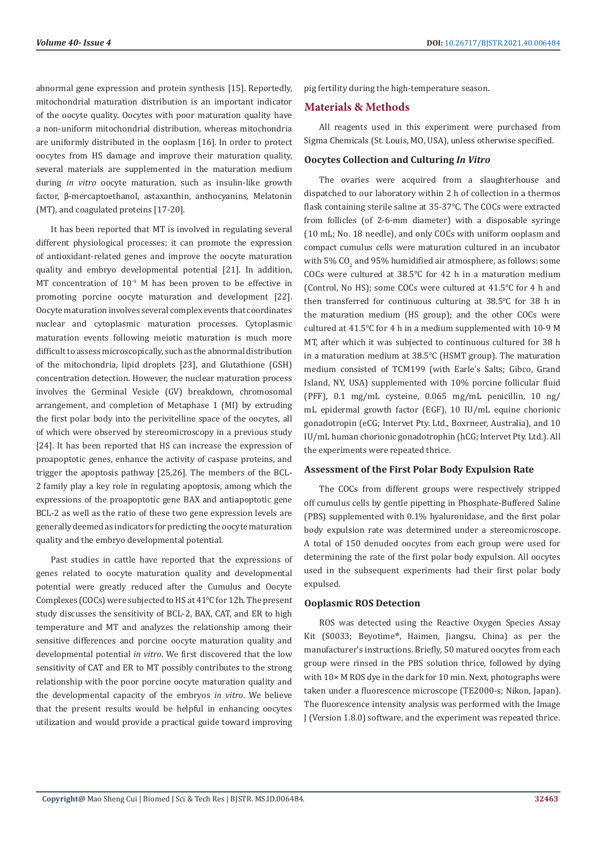abnormal gene expression and protein synthesis [15]. Reportedly, mitochondrial maturation distribution is an important indicator of the oocyte quality. Oocytes with poor maturation quality have a non-uniform mitochondrial distribution, whereas mitochondria are uniformly distributed in the ooplasm [16]. In order to protect oocytes from HS damage and improve their maturation quality, several materials are supplemented in the maturation medium during *in vitro* oocyte maturation, such as insulin-like growth factor, β-mercaptoethanol, astaxanthin, anthocyanins, Melatonin (MT), and coagulated proteins [17-20].

It has been reported that MT is involved in regulating several different physiological processes; it can promote the expression of antioxidant-related genes and improve the oocyte maturation quality and embryo developmental potential [21]. In addition, MT concentration of 10<sup>-9</sup> M has been proven to be effective in promoting porcine oocyte maturation and development [22]. Oocyte maturation involves several complex events that coordinates nuclear and cytoplasmic maturation processes. Cytoplasmic maturation events following meiotic maturation is much more difficult to assess microscopically, such as the abnormal distribution of the mitochondria, lipid droplets [23], and Glutathione (GSH) concentration detection. However, the nuclear maturation process involves the Germinal Vesicle (GV) breakdown, chromosomal arrangement, and completion of Metaphase 1 (MI) by extruding the first polar body into the perivitelline space of the oocytes, all of which were observed by stereomicroscopy in a previous study [24]. It has been reported that HS can increase the expression of proapoptotic genes, enhance the activity of caspase proteins, and trigger the apoptosis pathway [25,26]. The members of the BCL-2 family play a key role in regulating apoptosis, among which the expressions of the proapoptotic gene BAX and antiapoptotic gene BCL-2 as well as the ratio of these two gene expression levels are generally deemed as indicators for predicting the oocyte maturation quality and the embryo developmental potential.

Past studies in cattle have reported that the expressions of genes related to oocyte maturation quality and developmental potential were greatly reduced after the Cumulus and Oocyte Complexes (COCs) were subjected to HS at 41℃ for 12h. The present study discusses the sensitivity of BCL-2, BAX, CAT, and ER to high temperature and MT and analyzes the relationship among their sensitive differences and porcine oocyte maturation quality and developmental potential *in vitro*. We first discovered that the low sensitivity of CAT and ER to MT possibly contributes to the strong relationship with the poor porcine oocyte maturation quality and the developmental capacity of the embryos *in vitro*. We believe that the present results would be helpful in enhancing oocytes utilization and would provide a practical guide toward improving

pig fertility during the high-temperature season.

#### **Materials & Methods**

All reagents used in this experiment were purchased from Sigma Chemicals (St. Louis, MO, USA), unless otherwise specified.

### **Oocytes Collection and Culturing** *In Vitro*

The ovaries were acquired from a slaughterhouse and dispatched to our laboratory within 2 h of collection in a thermos flask containing sterile saline at 35-37℃. The COCs were extracted from follicles (of 2-6-mm diameter) with a disposable syringe (10 mL; No. 18 needle), and only COCs with uniform ooplasm and compact cumulus cells were maturation cultured in an incubator with 5% CO $_2$  and 95% humidified air atmosphere, as follows: some COCs were cultured at 38.5℃ for 42 h in a maturation medium (Control, No HS); some COCs were cultured at 41.5℃ for 4 h and then transferred for continuous culturing at 38.5℃ for 38 h in the maturation medium (HS group); and the other COCs were cultured at 41.5℃ for 4 h in a medium supplemented with 10-9 M MT, after which it was subjected to continuous cultured for 38 h in a maturation medium at 38.5℃ (HSMT group). The maturation medium consisted of TCM199 (with Earle's Salts; Gibco, Grand Island, NY, USA) supplemented with 10% porcine follicular fluid (PFF), 0.1 mg/mL cysteine, 0.065 mg/mL penicillin, 10 ng/ mL epidermal growth factor (EGF), 10 IU/mL equine chorionic gonadotropin (eCG; Intervet Pty. Ltd., Boxrneer, Australia), and 10 IU/mL human chorionic gonadotrophin (hCG; Intervet Pty. Ltd.). All the experiments were repeated thrice.

#### **Assessment of the First Polar Body Expulsion Rate**

The COCs from different groups were respectively stripped off cumulus cells by gentle pipetting in Phosphate-Buffered Saline (PBS) supplemented with 0.1% hyaluronidase, and the first polar body expulsion rate was determined under a stereomicroscope. A total of 150 denuded oocytes from each group were used for determining the rate of the first polar body expulsion. All oocytes used in the subsequent experiments had their first polar body expulsed.

#### **Ooplasmic ROS Detection**

ROS was detected using the Reactive Oxygen Species Assay Kit (S0033; Beyotime®, Haimen, Jiangsu, China) as per the manufacturer's instructions. Briefly, 50 matured oocytes from each group were rinsed in the PBS solution thrice, followed by dying with 10× M ROS dye in the dark for 10 min. Next, photographs were taken under a fluorescence microscope (TE2000-s; Nikon, Japan). The fluorescence intensity analysis was performed with the Image J (Version 1.8.0) software, and the experiment was repeated thrice.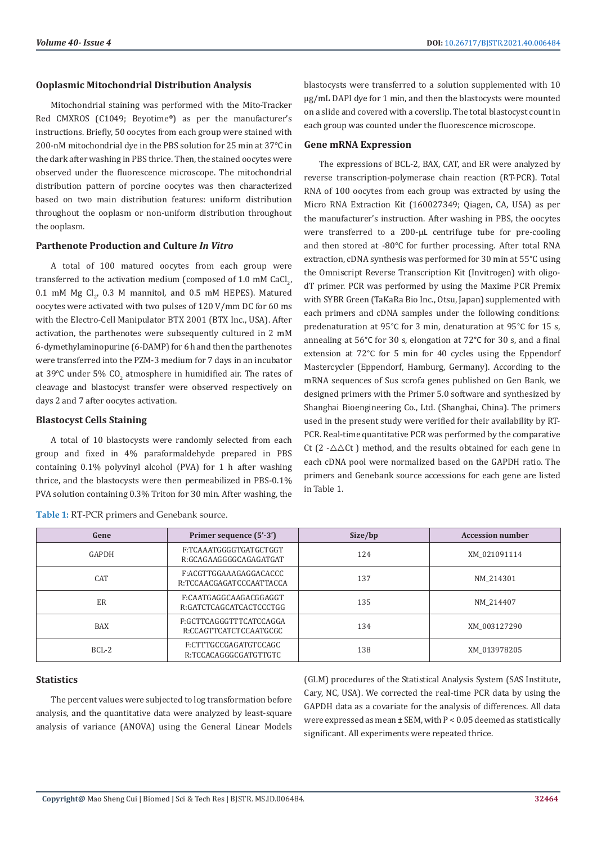# **Ooplasmic Mitochondrial Distribution Analysis**

Mitochondrial staining was performed with the Mito-Tracker Red CMXROS (C1049; Beyotime®) as per the manufacturer's instructions. Briefly, 50 oocytes from each group were stained with 200-nM mitochondrial dye in the PBS solution for 25 min at 37℃ in the dark after washing in PBS thrice. Then, the stained oocytes were observed under the fluorescence microscope. The mitochondrial distribution pattern of porcine oocytes was then characterized based on two main distribution features: uniform distribution throughout the ooplasm or non-uniform distribution throughout the ooplasm.

# **Parthenote Production and Culture** *In Vitro*

A total of 100 matured oocytes from each group were transferred to the activation medium (composed of 1.0 mM CaCl<sub>2</sub>,  $0.1$  mM Mg Cl<sub>2</sub>,  $0.3$  M mannitol, and  $0.5$  mM HEPES). Matured oocytes were activated with two pulses of 120 V/mm DC for 60 ms with the Electro-Cell Manipulator BTX 2001 (BTX Inc., USA). After activation, the parthenotes were subsequently cultured in 2 mM 6-dymethylaminopurine (6-DAMP) for 6 h and then the parthenotes were transferred into the PZM-3 medium for 7 days in an incubator at 39℃ under 5% CO<sub>2</sub> atmosphere in humidified air. The rates of cleavage and blastocyst transfer were observed respectively on days 2 and 7 after oocytes activation.

#### **Blastocyst Cells Staining**

A total of 10 blastocysts were randomly selected from each group and fixed in 4% paraformaldehyde prepared in PBS containing 0.1% polyvinyl alcohol (PVA) for 1 h after washing thrice, and the blastocysts were then permeabilized in PBS-0.1% PVA solution containing 0.3% Triton for 30 min. After washing, the

| <b>Gene mRNA Expression</b>                                            |
|------------------------------------------------------------------------|
| each group was counted under the fluorescence microscope.              |
| on a slide and covered with a coverslip. The total blastocyst count in |
| $\mu$ g/mL DAPI dye for 1 min, and then the blastocysts were mounted   |

blastocysts were transferred to a solution supplemented with 10

The expressions of BCL-2, BAX, CAT, and ER were analyzed by reverse transcription-polymerase chain reaction (RT-PCR). Total RNA of 100 oocytes from each group was extracted by using the Micro RNA Extraction Kit (160027349; Qiagen, CA, USA) as per the manufacturer's instruction. After washing in PBS, the oocytes were transferred to a 200-µL centrifuge tube for pre-cooling and then stored at -80℃ for further processing. After total RNA extraction, cDNA synthesis was performed for 30 min at 55°C using the Omniscript Reverse Transcription Kit (Invitrogen) with oligodT primer. PCR was performed by using the Maxime PCR Premix with SYBR Green (TaKaRa Bio Inc., Otsu, Japan) supplemented with each primers and cDNA samples under the following conditions: predenaturation at 95°C for 3 min, denaturation at 95°C for 15 s, annealing at 56°C for 30 s, elongation at 72°C for 30 s, and a final extension at 72°C for 5 min for 40 cycles using the Eppendorf Mastercycler (Eppendorf, Hamburg, Germany). According to the mRNA sequences of Sus scrofa genes published on Gen Bank, we designed primers with the Primer 5.0 software and synthesized by Shanghai Bioengineering Co., Ltd. (Shanghai, China). The primers used in the present study were verified for their availability by RT-PCR. Real-time quantitative PCR was performed by the comparative Ct (2 - $\triangle \triangle$ Ct) method, and the results obtained for each gene in each cDNA pool were normalized based on the GAPDH ratio. The primers and Genebank source accessions for each gene are listed in Table 1.

| Gene       | Primer sequence (5'-3')                                  | Size/bp | <b>Accession number</b> |
|------------|----------------------------------------------------------|---------|-------------------------|
| GAPDH      | F:TCAAATGGGGTGATGCTGGT<br>124<br>R:GCAGAAGGGGCAGAGATGAT  |         | XM 021091114            |
| <b>CAT</b> | F:ACGTTGGAAAGAGGACACCC<br>R:TCCAACGAGATCCCAATTACCA       | 137     |                         |
| <b>ER</b>  | F:CAATGAGGCAAGACGGAGGT<br>135<br>R:GATCTCAGCATCACTCCCTGG |         | NM 214407               |
| <b>BAX</b> | F:GCTTCAGGGTTTCATCCAGGA<br>134<br>R:CCAGTTCATCTCCAATGCGC |         | XM 003127290            |
| $BCL-2$    | F:CTTTGCCGAGATGTCCAGC<br>R:TCCACAGGGCGATGTTGTC           | 138     | XM 013978205            |

#### **Table 1:** RT-PCR primers and Genebank source.

#### **Statistics**

The percent values were subjected to log transformation before analysis, and the quantitative data were analyzed by least-square analysis of variance (ANOVA) using the General Linear Models (GLM) procedures of the Statistical Analysis System (SAS Institute, Cary, NC, USA). We corrected the real-time PCR data by using the GAPDH data as a covariate for the analysis of differences. All data were expressed as mean  $\pm$  SEM, with P < 0.05 deemed as statistically significant. All experiments were repeated thrice.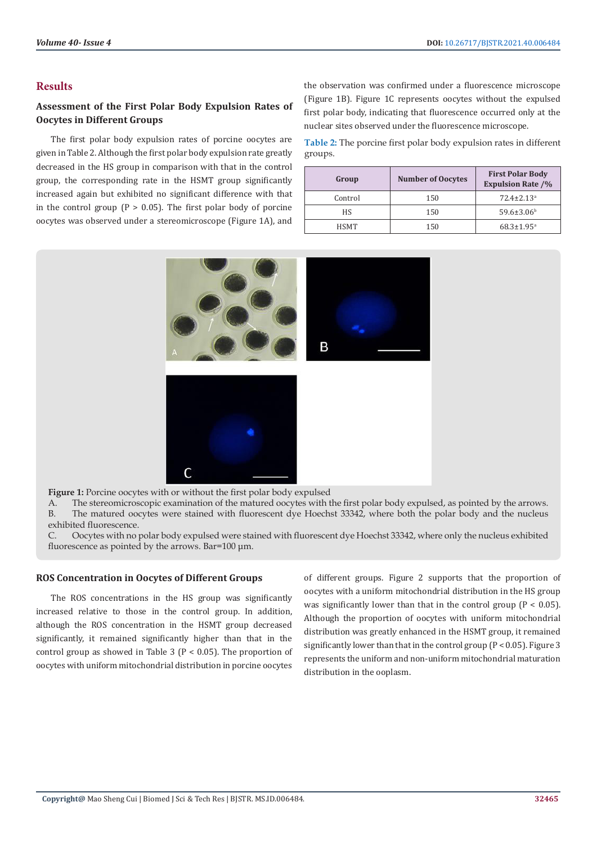# **Results**

# **Assessment of the First Polar Body Expulsion Rates of Oocytes in Different Groups**

The first polar body expulsion rates of porcine oocytes are given in Table 2. Although the first polar body expulsion rate greatly decreased in the HS group in comparison with that in the control group, the corresponding rate in the HSMT group significantly increased again but exhibited no significant difference with that in the control group  $(P > 0.05)$ . The first polar body of porcine oocytes was observed under a stereomicroscope (Figure 1A), and

the observation was confirmed under a fluorescence microscope (Figure 1B). Figure 1C represents oocytes without the expulsed first polar body, indicating that fluorescence occurred only at the nuclear sites observed under the fluorescence microscope.

**Table 2:** The porcine first polar body expulsion rates in different groups.

| Group       | <b>Number of Oocytes</b> | <b>First Polar Body</b><br><b>Expulsion Rate /%</b> |
|-------------|--------------------------|-----------------------------------------------------|
| Control     | 150                      | $72.4 \pm 2.13$ <sup>a</sup>                        |
| <b>HS</b>   | 150                      | $59.6 \pm 3.06$ <sup>b</sup>                        |
| <b>HSMT</b> | 150                      | $68.3 \pm 1.95$ <sup>a</sup>                        |



**Figure 1:** Porcine oocytes with or without the first polar body expulsed

A. The stereomicroscopic examination of the matured oocytes with the first polar body expulsed, as pointed by the arrows. B. The matured oocytes were stained with fluorescent dye Hoechst 33342, where both the polar body and the nucleus exhibited fluorescence.

C. Oocytes with no polar body expulsed were stained with fluorescent dye Hoechst 33342, where only the nucleus exhibited fluorescence as pointed by the arrows. Bar=100 μm.

#### **ROS Concentration in Oocytes of Different Groups**

The ROS concentrations in the HS group was significantly increased relative to those in the control group. In addition, although the ROS concentration in the HSMT group decreased significantly, it remained significantly higher than that in the control group as showed in Table 3 (P < 0.05). The proportion of oocytes with uniform mitochondrial distribution in porcine oocytes

of different groups. Figure 2 supports that the proportion of oocytes with a uniform mitochondrial distribution in the HS group was significantly lower than that in the control group  $(P < 0.05)$ . Although the proportion of oocytes with uniform mitochondrial distribution was greatly enhanced in the HSMT group, it remained significantly lower than that in the control group (P < 0.05). Figure 3 represents the uniform and non-uniform mitochondrial maturation distribution in the ooplasm.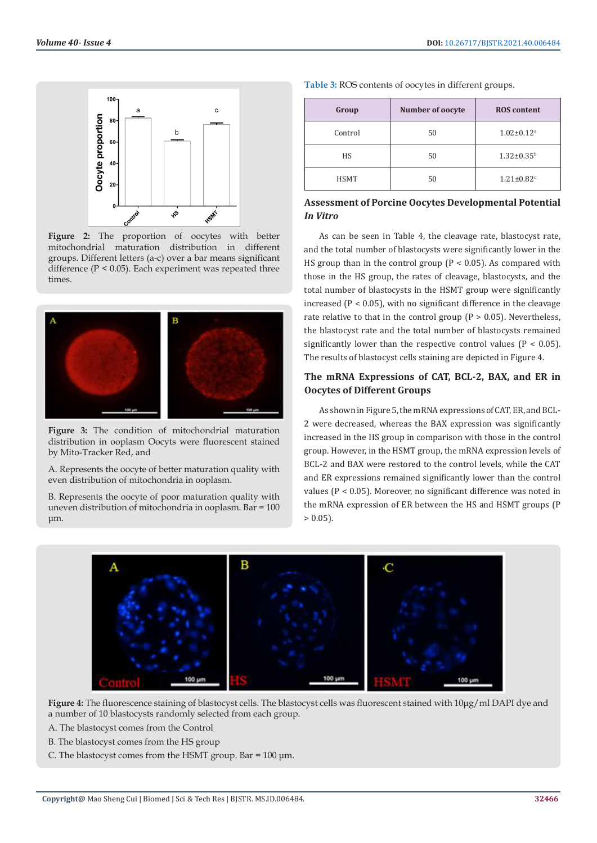

Figure 2: The proportion of oocytes with better mitochondrial maturation distribution in different groups. Different letters (a-c) over a bar means significant difference (P < 0.05). Each experiment was repeated three times.



**Figure 3:** The condition of mitochondrial maturation distribution in ooplasm Oocyts were fluorescent stained by Mito-Tracker Red, and

A. Represents the oocyte of better maturation quality with even distribution of mitochondria in ooplasm.

B. Represents the oocyte of poor maturation quality with uneven distribution of mitochondria in ooplasm. Bar = 100 μm.

| Table 3: ROS contents of oocytes in different groups. |  |  |  |  |
|-------------------------------------------------------|--|--|--|--|
|-------------------------------------------------------|--|--|--|--|

| Group       | Number of oocyte | <b>ROS</b> content           |
|-------------|------------------|------------------------------|
| Control     | 50               | $1.02 \pm 0.12$ <sup>a</sup> |
| HS.         | 50               | $1.32 \pm 0.35^b$            |
| <b>HSMT</b> | 50               | $1.21 \pm 0.82$ <sup>c</sup> |

# **Assessment of Porcine Oocytes Developmental Potential**  *In Vitro*

As can be seen in Table 4, the cleavage rate, blastocyst rate, and the total number of blastocysts were significantly lower in the HS group than in the control group ( $P < 0.05$ ). As compared with those in the HS group, the rates of cleavage, blastocysts, and the total number of blastocysts in the HSMT group were significantly increased  $(P < 0.05)$ , with no significant difference in the cleavage rate relative to that in the control group  $(P > 0.05)$ . Nevertheless, the blastocyst rate and the total number of blastocysts remained significantly lower than the respective control values ( $P < 0.05$ ). The results of blastocyst cells staining are depicted in Figure 4.

# **The mRNA Expressions of CAT, BCL-2, BAX, and ER in Oocytes of Different Groups**

As shown in Figure 5, the mRNA expressions of CAT, ER, and BCL-2 were decreased, whereas the BAX expression was significantly increased in the HS group in comparison with those in the control group. However, in the HSMT group, the mRNA expression levels of BCL-2 and BAX were restored to the control levels, while the CAT and ER expressions remained significantly lower than the control values (P < 0.05). Moreover, no significant difference was noted in the mRNA expression of ER between the HS and HSMT groups (P  $> 0.05$ ).



**Figure 4:** The fluorescence staining of blastocyst cells. The blastocyst cells was fluorescent stained with 10μg/ml DAPI dye and a number of 10 blastocysts randomly selected from each group.

A. The blastocyst comes from the Control

- B. The blastocyst comes from the HS group
- C. The blastocyst comes from the HSMT group. Bar =  $100 \mu m$ .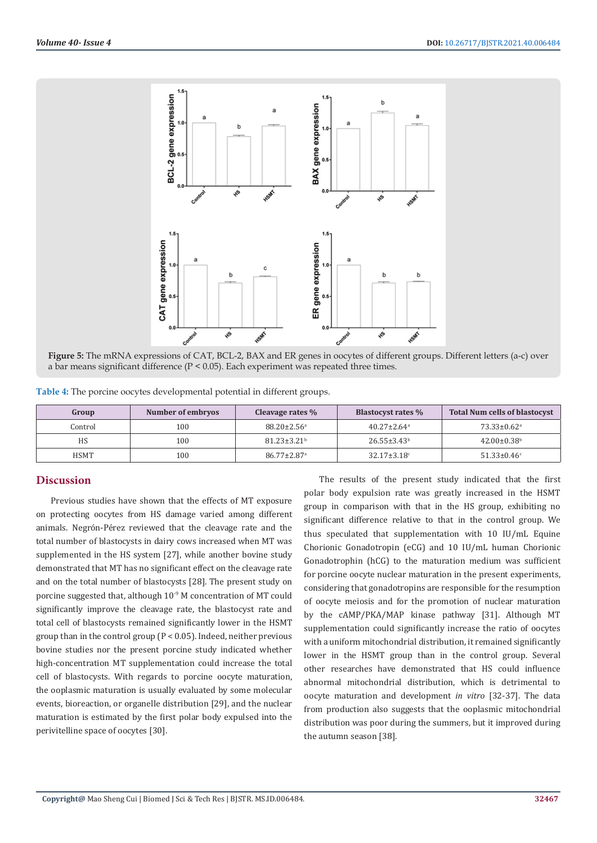

**Figure 5:** The mRNA expressions of CAT, BCL-2, BAX and ER genes in oocytes of different groups. Different letters (a-c) over a bar means significant difference (P < 0.05). Each experiment was repeated three times.

| Table 4: The porcine oocytes developmental potential in different groups. |  |  |  |  |
|---------------------------------------------------------------------------|--|--|--|--|
|---------------------------------------------------------------------------|--|--|--|--|

| Group       | Number of embryos | Cleavage rates %              | <b>Blastocyst rates %</b>     | <b>Total Num cells of blastocyst</b> |
|-------------|-------------------|-------------------------------|-------------------------------|--------------------------------------|
| Control     | 100               | $88.20 \pm 2.56$ <sup>a</sup> | $40.27 \pm 2.64$ <sup>a</sup> | $73.33 \pm 0.62$ <sup>a</sup>        |
| HS          | 100               | $81.23 \pm 3.21$ <sup>b</sup> | $26.55 \pm 3.43^b$            | $42.00 \pm 0.38$ <sup>b</sup>        |
| <b>HSMT</b> | 100               | $86.77 \pm 2.87$ <sup>a</sup> | $32.17 \pm 3.18$ °            | $51.33 \pm 0.46$ °                   |

# **Discussion**

Previous studies have shown that the effects of MT exposure on protecting oocytes from HS damage varied among different animals. Negrón-Pérez reviewed that the cleavage rate and the total number of blastocysts in dairy cows increased when MT was supplemented in the HS system [27], while another bovine study demonstrated that MT has no significant effect on the cleavage rate and on the total number of blastocysts [28]. The present study on porcine suggested that, although 10<sup>-9</sup> M concentration of MT could significantly improve the cleavage rate, the blastocyst rate and total cell of blastocysts remained significantly lower in the HSMT group than in the control group (P < 0.05). Indeed, neither previous bovine studies nor the present porcine study indicated whether high-concentration MT supplementation could increase the total cell of blastocysts. With regards to porcine oocyte maturation, the ooplasmic maturation is usually evaluated by some molecular events, bioreaction, or organelle distribution [29], and the nuclear maturation is estimated by the first polar body expulsed into the perivitelline space of oocytes [30].

The results of the present study indicated that the first polar body expulsion rate was greatly increased in the HSMT group in comparison with that in the HS group, exhibiting no significant difference relative to that in the control group. We thus speculated that supplementation with 10 IU/mL Equine Chorionic Gonadotropin (eCG) and 10 IU/mL human Chorionic Gonadotrophin (hCG) to the maturation medium was sufficient for porcine oocyte nuclear maturation in the present experiments, considering that gonadotropins are responsible for the resumption of oocyte meiosis and for the promotion of nuclear maturation by the cAMP/PKA/MAP kinase pathway [31]. Although MT supplementation could significantly increase the ratio of oocytes with a uniform mitochondrial distribution, it remained significantly lower in the HSMT group than in the control group. Several other researches have demonstrated that HS could influence abnormal mitochondrial distribution, which is detrimental to oocyte maturation and development *in vitro* [32-37]. The data from production also suggests that the ooplasmic mitochondrial distribution was poor during the summers, but it improved during the autumn season [38].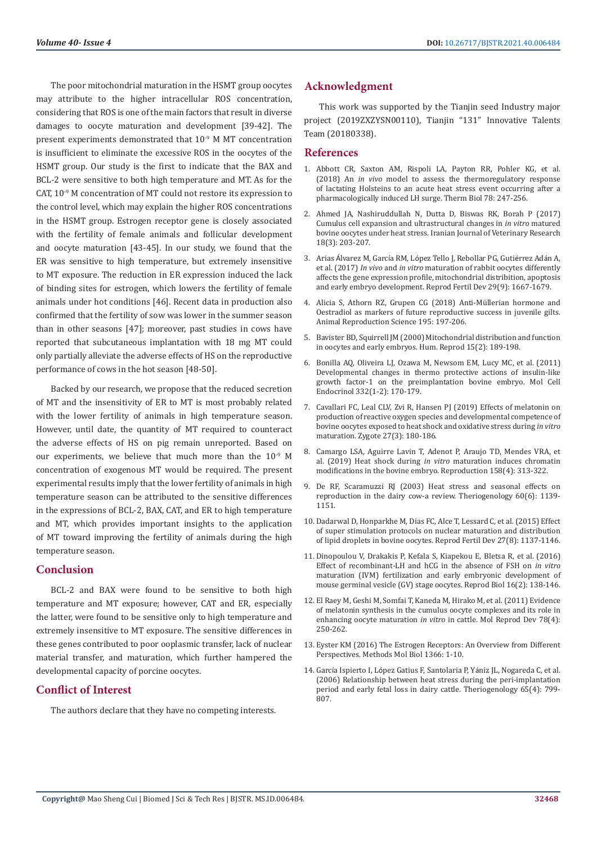The poor mitochondrial maturation in the HSMT group oocytes may attribute to the higher intracellular ROS concentration, considering that ROS is one of the main factors that result in diverse damages to oocyte maturation and development [39-42]. The present experiments demonstrated that 10-9 M MT concentration is insufficient to eliminate the excessive ROS in the oocytes of the HSMT group. Our study is the first to indicate that the BAX and BCL-2 were sensitive to both high temperature and MT. As for the CAT, 10<sup>-9</sup> M concentration of MT could not restore its expression to the control level, which may explain the higher ROS concentrations in the HSMT group. Estrogen receptor gene is closely associated with the fertility of female animals and follicular development and oocyte maturation [43-45]. In our study, we found that the ER was sensitive to high temperature, but extremely insensitive to MT exposure. The reduction in ER expression induced the lack of binding sites for estrogen, which lowers the fertility of female animals under hot conditions [46]. Recent data in production also confirmed that the fertility of sow was lower in the summer season than in other seasons [47]; moreover, past studies in cows have reported that subcutaneous implantation with 18 mg MT could only partially alleviate the adverse effects of HS on the reproductive performance of cows in the hot season [48-50].

Backed by our research, we propose that the reduced secretion of MT and the insensitivity of ER to MT is most probably related with the lower fertility of animals in high temperature season. However, until date, the quantity of MT required to counteract the adverse effects of HS on pig remain unreported. Based on our experiments, we believe that much more than the 10-9 M concentration of exogenous MT would be required. The present experimental results imply that the lower fertility of animals in high temperature season can be attributed to the sensitive differences in the expressions of BCL-2, BAX, CAT, and ER to high temperature and MT, which provides important insights to the application of MT toward improving the fertility of animals during the high temperature season.

# **Conclusion**

BCL-2 and BAX were found to be sensitive to both high temperature and MT exposure; however, CAT and ER, especially the latter, were found to be sensitive only to high temperature and extremely insensitive to MT exposure. The sensitive differences in these genes contributed to poor ooplasmic transfer, lack of nuclear material transfer, and maturation, which further hampered the developmental capacity of porcine oocytes.

# **Conflict of Interest**

The authors declare that they have no competing interests.

# **Acknowledgment**

This work was supported by the Tianjin seed Industry major project (2019ZXZYSN00110), Tianjin "131" Innovative Talents Team (20180338).

### **References**

- 1. [Abbott CR, Saxton AM, Rispoli LA, Payton RR, Pohler KG, et al.](https://pubmed.ncbi.nlm.nih.gov/30509643/) (2018) An *in vivo* [model to assess the thermoregulatory response](https://pubmed.ncbi.nlm.nih.gov/30509643/) [of lactating Holsteins to an acute heat stress event occurring after a](https://pubmed.ncbi.nlm.nih.gov/30509643/) [pharmacologically induced LH surge. Therm Biol 78: 247-256.](https://pubmed.ncbi.nlm.nih.gov/30509643/)
- 2. Ahmed JA, Nashiruddullah N, Dutta D, Biswas RK, Borah P (2017) Cumulus cell expansion and ultrastructural changes in *in vitro* matured bovine oocytes under heat stress. Iranian Journal of Veterinary Research 18(3): 203-207.
- 3. Arias Álvarez M, García RM, Ló[pez Tello J, Rebollar PG, Guti](https://pubmed.ncbi.nlm.nih.gov/27678473/)érrez Adán A, et al. (2017) *In vivo* and *in vitro* [maturation of rabbit oocytes differently](https://pubmed.ncbi.nlm.nih.gov/27678473/) [affects the gene expression profile, mitochondrial distribition, apoptosis](https://pubmed.ncbi.nlm.nih.gov/27678473/) [and early embryo development. Reprod Fertil Dev 29\(9\): 1667-1679.](https://pubmed.ncbi.nlm.nih.gov/27678473/)
- 4. [Alicia S, Athorn RZ, Grupen CG \(2018\) Anti-Müllerian hormone and](https://pubmed.ncbi.nlm.nih.gov/29859701/) [Oestradiol as markers of future reproductive success in juvenile gilts.](https://pubmed.ncbi.nlm.nih.gov/29859701/) [Animal Reproduction Science 195: 197-206.](https://pubmed.ncbi.nlm.nih.gov/29859701/)
- 5. [Bavister BD, Squirrell JM \(2000\) Mitochondrial distribution and function](https://pubmed.ncbi.nlm.nih.gov/11041524/) [in oocytes and early embryos. Hum. Reprod 15\(2\): 189-198.](https://pubmed.ncbi.nlm.nih.gov/11041524/)
- 6. [Bonilla AQ, Oliveira LJ, Ozawa M, Newsom EM, Lucy MC, et al. \(2011\)](https://pubmed.ncbi.nlm.nih.gov/20965229/) [Developmental changes in thermo protective actions of insulin-like](https://pubmed.ncbi.nlm.nih.gov/20965229/) [growth factor-1 on the preimplantation bovine embryo. Mol Cell](https://pubmed.ncbi.nlm.nih.gov/20965229/) [Endocrinol 332\(1-2\): 170-179.](https://pubmed.ncbi.nlm.nih.gov/20965229/)
- 7. [Cavallari FC, Leal CLV, Zvi R, Hansen PJ \(2019\) Effects of melatonin on](https://pubmed.ncbi.nlm.nih.gov/31171044/) [production of reactive oxygen species and developmental competence of](https://pubmed.ncbi.nlm.nih.gov/31171044/) [bovine oocytes exposed to heat shock and oxidative stress during](https://pubmed.ncbi.nlm.nih.gov/31171044/) *in vitro* [maturation. Zygote 27\(3\): 180-186.](https://pubmed.ncbi.nlm.nih.gov/31171044/)
- 8. [Camargo LSA, Aguirre Lavin T, Adenot P, Araujo TD, Mendes VRA, et](https://pubmed.ncbi.nlm.nih.gov/31426029/) al. (2019) Heat shock during *in vitro* [maturation induces chromatin](https://pubmed.ncbi.nlm.nih.gov/31426029/) [modifications in the bovine embryo. Reproduction 158\(4\): 313-322.](https://pubmed.ncbi.nlm.nih.gov/31426029/)
- 9. [De RF, Scaramuzzi RJ \(2003\) Heat stress and seasonal effects on](https://pubmed.ncbi.nlm.nih.gov/12935853/) [reproduction in the dairy cow-a review. Theriogenology 60\(6\): 1139-](https://pubmed.ncbi.nlm.nih.gov/12935853/) [1151.](https://pubmed.ncbi.nlm.nih.gov/12935853/)
- 10. [Dadarwal D, Honparkhe M, Dias FC, Alce T, Lessard C, et al. \(2015\) Effect](https://pubmed.ncbi.nlm.nih.gov/24942058/) [of super stimulation protocols on nuclear maturation and distribution](https://pubmed.ncbi.nlm.nih.gov/24942058/) [of lipid droplets in bovine oocytes. Reprod Fertil Dev 27\(8\): 1137-1146.](https://pubmed.ncbi.nlm.nih.gov/24942058/)
- 11. [Dinopoulou V, Drakakis P, Kefala S, Kiapekou E, Bletsa R, et al. \(2016\)](https://pubmed.ncbi.nlm.nih.gov/27288338/) [Effect of recombinant-LH and hCG in the absence of FSH on](https://pubmed.ncbi.nlm.nih.gov/27288338/) *in vitro* [maturation \(IVM\) fertilization and early embryonic development of](https://pubmed.ncbi.nlm.nih.gov/27288338/) [mouse germinal vesicle \(GV\) stage oocytes. Reprod Biol 16\(2\): 138-146.](https://pubmed.ncbi.nlm.nih.gov/27288338/)
- 12. [El Raey M, Geshi M, Somfai T, Kaneda M, Hirako M, et al. \(2011\) Evidence](https://pubmed.ncbi.nlm.nih.gov/21381146/) [of melatonin synthesis in the cumulus oocyte complexes and its role in](https://pubmed.ncbi.nlm.nih.gov/21381146/) enhancing oocyte maturation *in vitro* [in cattle. Mol Reprod Dev 78\(4\):](https://pubmed.ncbi.nlm.nih.gov/21381146/) [250-262.](https://pubmed.ncbi.nlm.nih.gov/21381146/)
- 13. [Eyster KM \(2016\) The Estrogen Receptors: An Overview from Different](https://pubmed.ncbi.nlm.nih.gov/26585122/) [Perspectives. Methods Mol Biol 1366: 1-10.](https://pubmed.ncbi.nlm.nih.gov/26585122/)
- 14. García Ispierto I, Ló[pez Gatius F, Santolaria P, Y](https://pubmed.ncbi.nlm.nih.gov/16085298/)ániz JL, Nogareda C, et al. [\(2006\) Relationship between heat stress during the peri-implantation](https://pubmed.ncbi.nlm.nih.gov/16085298/) [period and early fetal loss in dairy cattle. Theriogenology 65\(4\): 799-](https://pubmed.ncbi.nlm.nih.gov/16085298/) [807.](https://pubmed.ncbi.nlm.nih.gov/16085298/)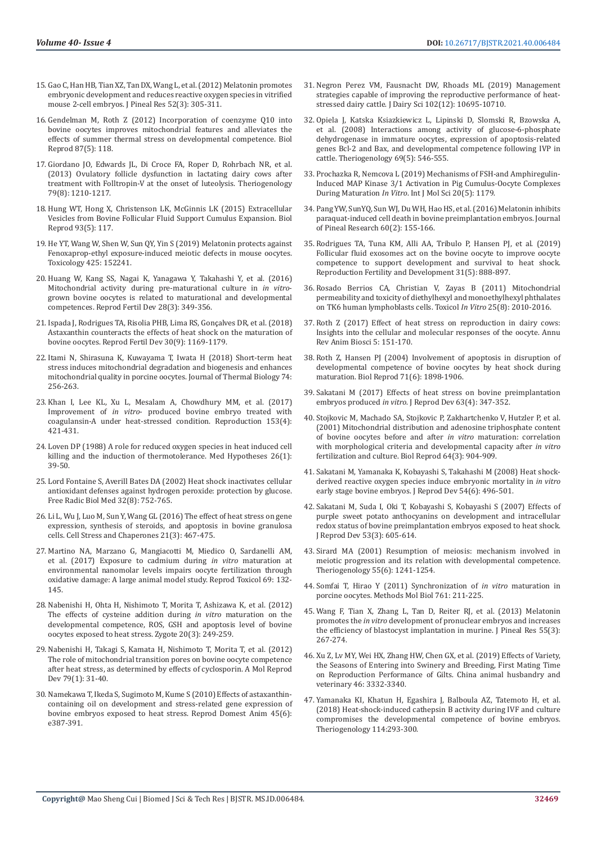- 15. [Gao C, Han HB, Tian XZ, Tan DX, Wang L, et al. \(2012\) Melatonin promotes](https://pubmed.ncbi.nlm.nih.gov/22225541/)  [embryonic development and reduces reactive oxygen species in vitrified](https://pubmed.ncbi.nlm.nih.gov/22225541/)  [mouse 2-cell embryos. J Pineal Res 52\(3\): 305-311.](https://pubmed.ncbi.nlm.nih.gov/22225541/)
- 16. [Gendelman M, Roth Z \(2012\) Incorporation of coenzyme Q10 into](https://pubmed.ncbi.nlm.nih.gov/23018185/)  [bovine oocytes improves mitochondrial features and alleviates the](https://pubmed.ncbi.nlm.nih.gov/23018185/)  [effects of summer thermal stress on developmental competence. Biol](https://pubmed.ncbi.nlm.nih.gov/23018185/)  [Reprod 87\(5\): 118.](https://pubmed.ncbi.nlm.nih.gov/23018185/)
- 17. [Giordano JO, Edwards JL, Di Croce FA, Roper D, Rohrbach NR, et al.](https://pubmed.ncbi.nlm.nih.gov/23534994/)  [\(2013\) Ovulatory follicle dysfunction in lactating dairy cows after](https://pubmed.ncbi.nlm.nih.gov/23534994/)  [treatment with Folltropin-V at the onset of luteolysis. Theriogenology](https://pubmed.ncbi.nlm.nih.gov/23534994/)  [79\(8\): 1210-1217.](https://pubmed.ncbi.nlm.nih.gov/23534994/)
- 18. [Hung WT, Hong X, Christenson LK, McGinnis LK \(2015\) Extracellular](https://pubmed.ncbi.nlm.nih.gov/26423123/)  [Vesicles from Bovine Follicular Fluid Support Cumulus Expansion. Biol](https://pubmed.ncbi.nlm.nih.gov/26423123/)  [Reprod 93\(5\): 117.](https://pubmed.ncbi.nlm.nih.gov/26423123/)
- 19. [He YT, Wang W, Shen W, Sun QY, Yin S \(2019\) Melatonin protects against](https://pubmed.ncbi.nlm.nih.gov/31265864/)  [Fenoxaprop-ethyl exposure-induced meiotic defects in mouse oocytes.](https://pubmed.ncbi.nlm.nih.gov/31265864/)  [Toxicology 425: 152241.](https://pubmed.ncbi.nlm.nih.gov/31265864/)
- 20. [Huang W, Kang SS, Nagai K, Yanagawa Y, Takahashi Y, et al. \(2016\)](https://pubmed.ncbi.nlm.nih.gov/25029376/)  [Mitochondrial activity during pre-maturational culture in](https://pubmed.ncbi.nlm.nih.gov/25029376/) *in vitro*[grown bovine oocytes is related to maturational and developmental](https://pubmed.ncbi.nlm.nih.gov/25029376/)  [competences. Reprod Fertil Dev 28\(3\): 349-356.](https://pubmed.ncbi.nlm.nih.gov/25029376/)
- 21. Ispada J, Rodrigues TA, Risolia PHB, Lima RS, Gonçalves DR, et al. (2018) Astaxanthin counteracts the effects of heat shock on the maturation of bovine oocytes. Reprod Fertil Dev 30(9): 1169-1179.
- 22. [Itami N, Shirasuna K, Kuwayama T, Iwata H \(2018\) Short-term heat](https://pubmed.ncbi.nlm.nih.gov/29801636/)  [stress induces mitochondrial degradation and biogenesis and enhances](https://pubmed.ncbi.nlm.nih.gov/29801636/)  [mitochondrial quality in porcine oocytes. Journal of Thermal Biology 74:](https://pubmed.ncbi.nlm.nih.gov/29801636/)  [256-263.](https://pubmed.ncbi.nlm.nih.gov/29801636/)
- 23. [Khan I, Lee KL, Xu L, Mesalam A, Chowdhury MM, et al. \(2017\)](https://pubmed.ncbi.nlm.nih.gov/28069903/)  Improvement of *in vitro*[- produced bovine embryo treated with](https://pubmed.ncbi.nlm.nih.gov/28069903/)  [coagulansin-A under heat-stressed condition. Reproduction 153\(4\):](https://pubmed.ncbi.nlm.nih.gov/28069903/)  [421-431.](https://pubmed.ncbi.nlm.nih.gov/28069903/)
- 24. [Loven DP \(1988\) A role for reduced oxygen species in heat induced cell](https://pubmed.ncbi.nlm.nih.gov/2840559/)  [killing and the induction of thermotolerance. Med Hypotheses 26\(1\):](https://pubmed.ncbi.nlm.nih.gov/2840559/)  [39-50.](https://pubmed.ncbi.nlm.nih.gov/2840559/)
- 25. [Lord Fontaine S, Averill Bates DA \(2002\) Heat shock inactivates cellular](https://pubmed.ncbi.nlm.nih.gov/11937301/)  [antioxidant defenses against hydrogen peroxide: protection by glucose.](https://pubmed.ncbi.nlm.nih.gov/11937301/)  [Free Radic Biol Med 32\(8\): 752-765.](https://pubmed.ncbi.nlm.nih.gov/11937301/)
- 26. [Li L, Wu J, Luo M, Sun Y, Wang GL \(2016\) The effect of heat stress on gene](https://pubmed.ncbi.nlm.nih.gov/26847372/)  [expression, synthesis of steroids, and apoptosis in bovine granulosa](https://pubmed.ncbi.nlm.nih.gov/26847372/)  [cells. Cell Stress and Chaperones 21\(3\): 467-475.](https://pubmed.ncbi.nlm.nih.gov/26847372/)
- 27. [Martino NA, Marzano G, Mangiacotti M, Miedico O, Sardanelli AM,](https://pubmed.ncbi.nlm.nih.gov/28188904/)  [et al. \(2017\) Exposure to cadmium during](https://pubmed.ncbi.nlm.nih.gov/28188904/) *in vitro* maturation at [environmental nanomolar levels impairs oocyte fertilization through](https://pubmed.ncbi.nlm.nih.gov/28188904/)  [oxidative damage: A large animal model study. Reprod Toxicol 69: 132-](https://pubmed.ncbi.nlm.nih.gov/28188904/) [145.](https://pubmed.ncbi.nlm.nih.gov/28188904/)
- 28. [Nabenishi H, Ohta H, Nishimoto T, Morita T, Ashizawa K, et al. \(2012\)](https://pubmed.ncbi.nlm.nih.gov/21729376/)  [The effects of cysteine addition during](https://pubmed.ncbi.nlm.nih.gov/21729376/) *in vitro* maturation on the [developmental competence, ROS, GSH and apoptosis level of bovine](https://pubmed.ncbi.nlm.nih.gov/21729376/)  [oocytes exposed to heat stress. Zygote 20\(3\): 249-259.](https://pubmed.ncbi.nlm.nih.gov/21729376/)
- 29. [Nabenishi H, Takagi S, Kamata H, Nishimoto T, Morita T, et al. \(2012\)](https://pubmed.ncbi.nlm.nih.gov/22128015/)  [The role of mitochondrial transition pores on bovine oocyte competence](https://pubmed.ncbi.nlm.nih.gov/22128015/)  [after heat stress, as determined by effects of cyclosporin. A Mol Reprod](https://pubmed.ncbi.nlm.nih.gov/22128015/)  [Dev 79\(1\): 31-40.](https://pubmed.ncbi.nlm.nih.gov/22128015/)
- 30. [Namekawa T, Ikeda S, Sugimoto M, Kume S \(2010\) Effects of astaxanthin](https://pubmed.ncbi.nlm.nih.gov/20210879/)[containing oil on development and stress-related gene expression of](https://pubmed.ncbi.nlm.nih.gov/20210879/)  [bovine embryos exposed to heat stress. Reprod Domest Anim 45\(6\):](https://pubmed.ncbi.nlm.nih.gov/20210879/)  [e387-391.](https://pubmed.ncbi.nlm.nih.gov/20210879/)
- 31. [Negron Perez VM, Fausnacht DW, Rhoads ML \(2019\) Management](https://pubmed.ncbi.nlm.nih.gov/31521355/) [strategies capable of improving the reproductive performance of heat](https://pubmed.ncbi.nlm.nih.gov/31521355/)[stressed dairy cattle. J Dairy Sci 102\(12\): 10695-10710.](https://pubmed.ncbi.nlm.nih.gov/31521355/)
- 32. [Opiela J, Katska Ksiazkiewicz L, Lipinski D, Slomski R, Bzowska A,](https://pubmed.ncbi.nlm.nih.gov/18242680/) [et al. \(2008\) Interactions among activity of glucose-6-phosphate](https://pubmed.ncbi.nlm.nih.gov/18242680/) [dehydrogenase in immature oocytes, expression of apoptosis-related](https://pubmed.ncbi.nlm.nih.gov/18242680/) [genes Bcl-2 and Bax, and developmental competence following IVP in](https://pubmed.ncbi.nlm.nih.gov/18242680/) [cattle. Theriogenology 69\(5\): 546-555.](https://pubmed.ncbi.nlm.nih.gov/18242680/)
- 33. [Prochazka R, Nemcova L \(2019\) Mechanisms of FSH-and Amphiregulin-](https://www.ncbi.nlm.nih.gov/labs/pmc/articles/PMC6429514/)[Induced MAP Kinase 3/1 Activation in Pig Cumulus-Oocyte Complexes](https://www.ncbi.nlm.nih.gov/labs/pmc/articles/PMC6429514/) During Maturation *In Vitro*[. Int J Mol Sci 20\(5\): 1179.](https://www.ncbi.nlm.nih.gov/labs/pmc/articles/PMC6429514/)
- 34. [Pang YW, SunYQ, Sun WJ, Du WH, Hao HS, et al. \(2016\) Melatonin inhibits](https://pubmed.ncbi.nlm.nih.gov/26607207/) [paraquat-induced cell death in bovine preimplantation embryos. Journal](https://pubmed.ncbi.nlm.nih.gov/26607207/) [of Pineal Research 60\(2\): 155-166.](https://pubmed.ncbi.nlm.nih.gov/26607207/)
- 35. [Rodrigues TA, Tuna KM, Alli AA, Tribulo P, Hansen PJ, et al. \(2019\)](https://pubmed.ncbi.nlm.nih.gov/30760387/) [Follicular fluid exosomes act on the bovine oocyte to improve oocyte](https://pubmed.ncbi.nlm.nih.gov/30760387/) [competence to support development and survival to heat shock.](https://pubmed.ncbi.nlm.nih.gov/30760387/) [Reproduction Fertility and Development 31\(5\): 888-897.](https://pubmed.ncbi.nlm.nih.gov/30760387/)
- 36. [Rosado Berrios CA, Christian V, Zayas B \(2011\) Mitochondrial](https://www.ncbi.nlm.nih.gov/labs/pmc/articles/PMC3217166/) [permeability and toxicity of diethylhexyl and monoethylhexyl phthalates](https://www.ncbi.nlm.nih.gov/labs/pmc/articles/PMC3217166/) [on TK6 human lymphoblasts cells. Toxicol](https://www.ncbi.nlm.nih.gov/labs/pmc/articles/PMC3217166/) *In Vitro* 25(8): 2010-2016.
- 37. [Roth Z \(2017\) Effect of heat stress on reproduction in dairy cows:](https://pubmed.ncbi.nlm.nih.gov/27732786/) [Insights into the cellular and molecular responses of the oocyte. Annu](https://pubmed.ncbi.nlm.nih.gov/27732786/) [Rev Anim Biosci 5: 151-170.](https://pubmed.ncbi.nlm.nih.gov/27732786/)
- 38. [Roth Z, Hansen PJ \(2004\) Involvement of apoptosis in disruption of](https://pubmed.ncbi.nlm.nih.gov/15306551/) [developmental competence of bovine oocytes by heat shock during](https://pubmed.ncbi.nlm.nih.gov/15306551/) [maturation. Biol Reprod 71\(6\): 1898-1906.](https://pubmed.ncbi.nlm.nih.gov/15306551/)
- 39. [Sakatani M \(2017\) Effects of heat stress on bovine preimplantation](https://pubmed.ncbi.nlm.nih.gov/28496018/) embryos produced *in vitro*[. J Reprod Dev 63\(4\): 347-352.](https://pubmed.ncbi.nlm.nih.gov/28496018/)
- 40. [Stojkovic M, Machado SA, Stojkovic P, Zakhartchenko V, Hutzler P, et al.](https://pubmed.ncbi.nlm.nih.gov/11207207/) [\(2001\) Mitochondrial distribution and adenosine triphosphate content](https://pubmed.ncbi.nlm.nih.gov/11207207/) [of bovine oocytes before and after](https://pubmed.ncbi.nlm.nih.gov/11207207/) *in vitro* maturation: correlation [with morphological criteria and developmental capacity after](https://pubmed.ncbi.nlm.nih.gov/11207207/) *in vitro* [fertilization and culture. Biol Reprod 64\(3\): 904-909.](https://pubmed.ncbi.nlm.nih.gov/11207207/)
- 41. [Sakatani M, Yamanaka K, Kobayashi S, Takahashi M \(2008\) Heat shock](https://pubmed.ncbi.nlm.nih.gov/18762719/)[derived reactive oxygen species induce embryonic mortality in](https://pubmed.ncbi.nlm.nih.gov/18762719/) *in vitro* [early stage bovine embryos. J Reprod Dev 54\(6\): 496-501.](https://pubmed.ncbi.nlm.nih.gov/18762719/)
- 42. Sakatani M, Suda I, Oki T, Kobayashi S, Kobayashi S (2007) Effects of purple sweet potato anthocyanins on development and intracellular redox status of bovine preimplantation embryos exposed to heat shock. J Reprod Dev 53(3): 605-614.
- 43. [Sirard MA \(2001\) Resumption of meiosis: mechanism involved in](https://pubmed.ncbi.nlm.nih.gov/11327682/) [meiotic progression and its relation with developmental competence.](https://pubmed.ncbi.nlm.nih.gov/11327682/) [Theriogenology 55\(6\): 1241-1254.](https://pubmed.ncbi.nlm.nih.gov/11327682/)
- 44. [Somfai T, Hirao Y \(2011\) Synchronization of](https://pubmed.ncbi.nlm.nih.gov/21755451/) *in vitro* maturation in [porcine oocytes. Methods Mol Biol 761: 211-225.](https://pubmed.ncbi.nlm.nih.gov/21755451/)
- 45. [Wang F, Tian X, Zhang L, Tan D, Reiter RJ, et al. \(2013\) Melatonin](https://pubmed.ncbi.nlm.nih.gov/23772689/) promotes the *in vitro* [development of pronuclear embryos and increases](https://pubmed.ncbi.nlm.nih.gov/23772689/) [the efficiency of blastocyst implantation in murine. J Pineal Res 55\(3\):](https://pubmed.ncbi.nlm.nih.gov/23772689/) [267-274.](https://pubmed.ncbi.nlm.nih.gov/23772689/)
- 46. Xu Z, Lv MY, Wei HX, Zhang HW, Chen GX, et al. (2019) Effects of Variety, the Seasons of Entering into Swinery and Breeding, First Mating Time on Reproduction Performance of Gilts. China animal husbandry and veterinary 46: 3332-3340.
- 47. [Yamanaka KI, Khatun H, Egashira J, Balboula AZ, Tatemoto H, et al.](https://pubmed.ncbi.nlm.nih.gov/29677632/) [\(2018\) Heat-shock-induced cathepsin B activity during IVF and culture](https://pubmed.ncbi.nlm.nih.gov/29677632/) [compromises the developmental competence of bovine embryos.](https://pubmed.ncbi.nlm.nih.gov/29677632/) [Theriogenology 114:293-300.](https://pubmed.ncbi.nlm.nih.gov/29677632/)